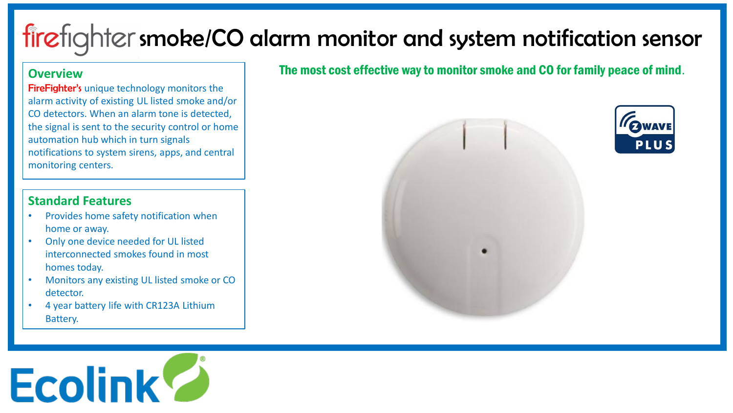# firefighter smoke/CO alarm monitor and system notification sensor

#### **Overview**

FireFighter's unique technology monitors the alarm activity of existing UL listed smoke and/or CO detectors. When an alarm tone is detected, the signal is sent to the security control or home automation hub which in turn signals notifications to system sirens, apps, and central monitoring centers.

#### **Standard Features**

- Provides home safety notification when home or away.
- Only one device needed for UL listed interconnected smokes found in most homes today.
- Monitors any existing UL listed smoke or CO detector.
- 4 year battery life with CR123A Lithium Battery.

## The most cost effective way to monitor smoke and CO for family peace of mind.



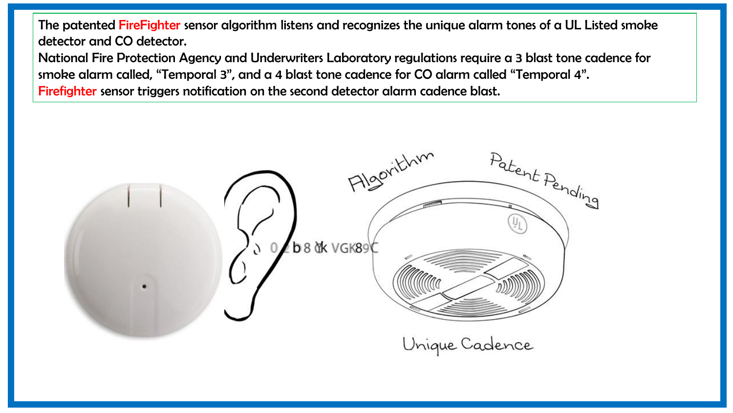The patented FireFighter sensor algorithm listens and recognizes the unique alarm tones of a UL Listed smoke detector and CO detector.

National Fire Protection Agency and Underwriters Laboratory regulations require a 3 blast tone cadence for smoke alarm called, "Temporal 3", and a 4 blast tone cadence for CO alarm called "Temporal 4". Firefighter sensor triggers notification on the second detector alarm cadence blast.

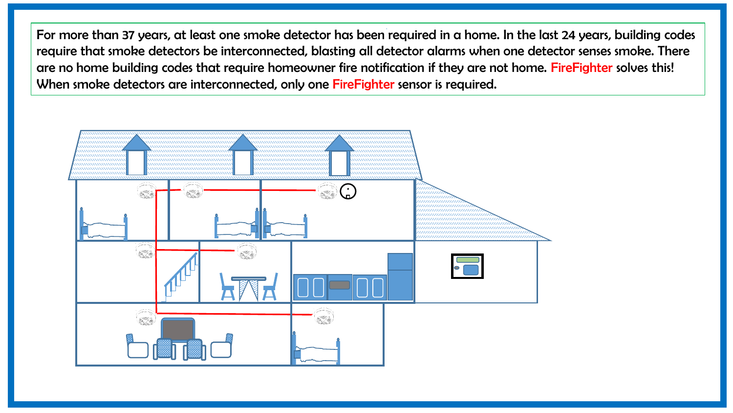For more than 37 years, at least one smoke detector has been required in a home. In the last 24 years, building codes require that smoke detectors be interconnected, blasting all detector alarms when one detector senses smoke. There are no home building codes that require homeowner fire notification if they are not home. FireFighter solves this! When smoke detectors are interconnected, only one FireFighter sensor is required.

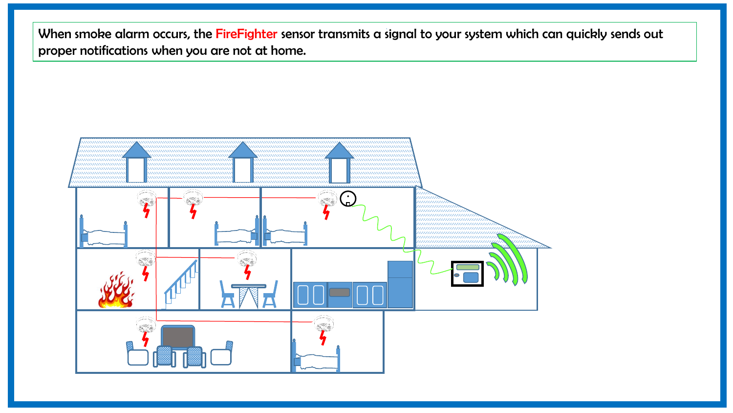When smoke alarm occurs, the FireFighter sensor transmits a signal to your system which can quickly sends out proper notifications when you are not at home.

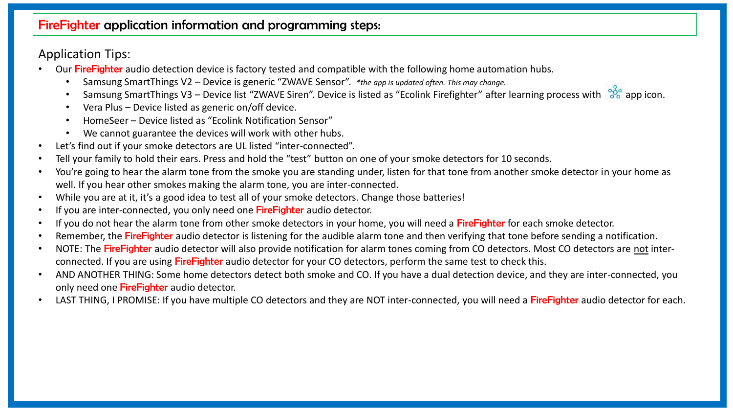#### FireFighter application information and programming steps:

## Application Tips:

- Our Fire Fighter audio detection device is factory tested and compatible with the following home automation hubs.
	- Samsung SmartThings V2 Device is generic "ZWAVE Sensor". *\*the app is updated often. This may change.*
	- Samsung SmartThings V3 Device list "ZWAVE Siren". Device is listed as "Ecolink Firefighter" after learning process with  $\frac{88}{90}$  app icon.
	- Vera Plus Device listed as generic on/off device.
	- HomeSeer Device listed as "Ecolink Notification Sensor"
	- We cannot guarantee the devices will work with other hubs.
- Let's find out if your smoke detectors are UL listed "inter-connected".
- Tell your family to hold their ears. Press and hold the "test" button on one of your smoke detectors for 10 seconds.
- You're going to hear the alarm tone from the smoke you are standing under, listen for that tone from another smoke detector in your home as well. If you hear other smokes making the alarm tone, you are inter-connected.
- While you are at it, it's a good idea to test all of your smoke detectors. Change those batteries!
- If you are inter-connected, you only need one FireFighter audio detector.
- If you do not hear the alarm tone from other smoke detectors in your home, you will need a FireFighter for each smoke detector.
- Remember, the FireFighter audio detector is listening for the audible alarm tone and then verifying that tone before sending a notification.
- NOTE: The FireFighter audio detector will also provide notification for alarm tones coming from CO detectors. Most CO detectors are not interconnected. If you are using FireFighter audio detector for your CO detectors, perform the same test to check this.
- AND ANOTHER THING: Some home detectors detect both smoke and CO. If you have a dual detection device, and they are inter-connected, you only need one FireFighter audio detector.
- LAST THING, I PROMISE: If you have multiple CO detectors and they are NOT inter-connected, you will need a FireFighter audio detector for each.